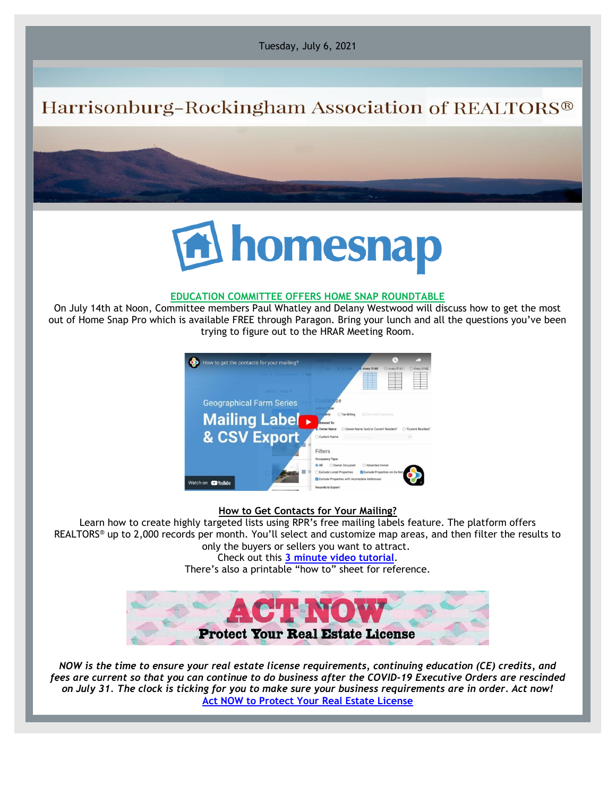Tuesday, July 6, 2021

## Harrisonburg-Rockingham Association of REALTORS®



## **EDUCATION COMMITTEE OFFERS HOME SNAP ROUNDTABLE**

On July 14th at Noon, Committee members Paul Whatley and Delany Westwood will discuss how to get the most out of Home Snap Pro which is available FREE through Paragon. Bring your lunch and all the questions you've been trying to figure out to the HRAR Meeting Room.



## **How to Get Contacts for Your Mailing?**

Learn how to create highly targeted lists using RPR's free mailing labels feature. The platform offers REALTORS® up to 2,000 records per month. You'll select and customize map areas, and then filter the results to only the buyers or sellers you want to attract.

Check out this **[3 minute video tutorial](https://narrpr.us1.list-manage.com/track/click?u=f5d49476cd7964930b293bda1&id=5a314e736f&e=c31497accf)**. There's also a printable "how to" sheet for reference.



*NOW is the time to ensure your real estate license requirements, continuing education (CE) credits, and fees are current so that you can continue to do business after the COVID-19 Executive Orders are rescinded on July 31. The clock is ticking for you to make sure your business requirements are in order. Act now!* **[Act NOW to Protect Your Real Estate License](https://virginiarealtors.org/2021/05/21/act-now-to-protect-your-real-estate-license/?_cldee=Ym9iQGhyYXIuY29t&recipientid=contact-fc6d698f7b294df9bc099e9a34e0de27-d49d38cdd0b44c7bbbad5f364387db44&esid=765403ba-e7d4-eb11-9c66-00155d0079a1)**